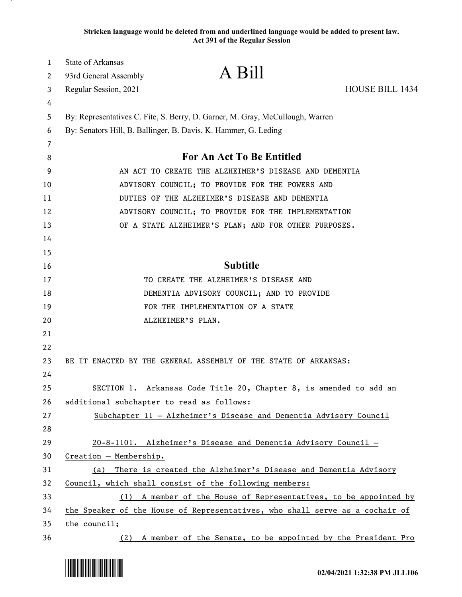**Stricken language would be deleted from and underlined language would be added to present law. Act 391 of the Regular Session**

| 1      | State of Arkansas                         | A Bill                                                                        |                        |
|--------|-------------------------------------------|-------------------------------------------------------------------------------|------------------------|
| 2      | 93rd General Assembly                     |                                                                               |                        |
| 3      | Regular Session, 2021                     |                                                                               | <b>HOUSE BILL 1434</b> |
| 4<br>5 |                                           | By: Representatives C. Fite, S. Berry, D. Garner, M. Gray, McCullough, Warren |                        |
| 6      |                                           | By: Senators Hill, B. Ballinger, B. Davis, K. Hammer, G. Leding               |                        |
| 7      |                                           |                                                                               |                        |
| 8      |                                           | For An Act To Be Entitled                                                     |                        |
| 9      |                                           | AN ACT TO CREATE THE ALZHEIMER'S DISEASE AND DEMENTIA                         |                        |
| 10     |                                           | ADVISORY COUNCIL; TO PROVIDE FOR THE POWERS AND                               |                        |
| 11     |                                           | DUTIES OF THE ALZHEIMER'S DISEASE AND DEMENTIA                                |                        |
| 12     |                                           | ADVISORY COUNCIL; TO PROVIDE FOR THE IMPLEMENTATION                           |                        |
| 13     |                                           | OF A STATE ALZHEIMER'S PLAN; AND FOR OTHER PURPOSES.                          |                        |
| 14     |                                           |                                                                               |                        |
| 15     |                                           |                                                                               |                        |
| 16     |                                           | <b>Subtitle</b>                                                               |                        |
| 17     |                                           | TO CREATE THE ALZHEIMER'S DISEASE AND                                         |                        |
| 18     |                                           | DEMENTIA ADVISORY COUNCIL; AND TO PROVIDE                                     |                        |
| 19     |                                           | FOR THE IMPLEMENTATION OF A STATE                                             |                        |
| 20     |                                           | ALZHEIMER'S PLAN.                                                             |                        |
| 21     |                                           |                                                                               |                        |
| 22     |                                           |                                                                               |                        |
| 23     |                                           | BE IT ENACTED BY THE GENERAL ASSEMBLY OF THE STATE OF ARKANSAS:               |                        |
| 24     |                                           |                                                                               |                        |
| 25     |                                           | SECTION 1. Arkansas Code Title 20, Chapter 8, is amended to add an            |                        |
| 26     | additional subchapter to read as follows: |                                                                               |                        |
| 27     |                                           | Subchapter 11 - Alzheimer's Disease and Dementia Advisory Council             |                        |
| 28     |                                           |                                                                               |                        |
| 29     |                                           | 20-8-1101. Alzheimer's Disease and Dementia Advisory Council -                |                        |
| 30     | Creation - Membership.                    |                                                                               |                        |
| 31     | (a)                                       | There is created the Alzheimer's Disease and Dementia Advisory                |                        |
| 32     |                                           | Council, which shall consist of the following members:                        |                        |
| 33     |                                           | (1) A member of the House of Representatives, to be appointed by              |                        |
| 34     |                                           | the Speaker of the House of Representatives, who shall serve as a cochair of  |                        |
| 35     | the council;                              |                                                                               |                        |
| 36     |                                           | (2) A member of the Senate, to be appointed by the President Pro              |                        |

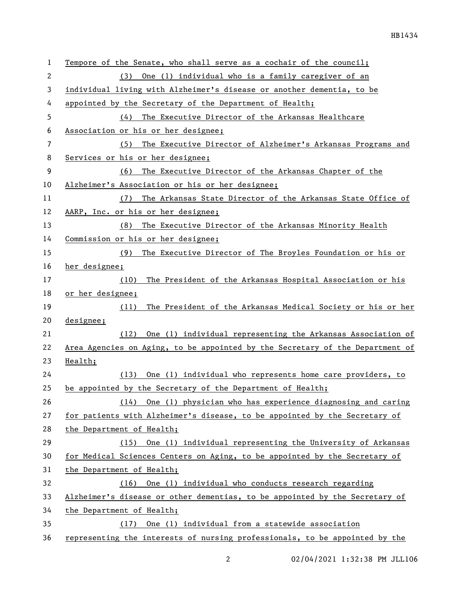| $\mathbf{1}$   | Tempore of the Senate, who shall serve as a cochair of the council;           |  |
|----------------|-------------------------------------------------------------------------------|--|
| $\overline{2}$ | One (1) individual who is a family caregiver of an<br>(3)                     |  |
| 3              | individual living with Alzheimer's disease or another dementia, to be         |  |
| 4              | appointed by the Secretary of the Department of Health;                       |  |
| 5              | The Executive Director of the Arkansas Healthcare<br>(4)                      |  |
| 6              | Association or his or her designee;                                           |  |
| 7              | The Executive Director of Alzheimer's Arkansas Programs and<br>(5)            |  |
| 8              | Services or his or her designee;                                              |  |
| 9              | The Executive Director of the Arkansas Chapter of the<br>(6)                  |  |
| 10             | Alzheimer's Association or his or her designee;                               |  |
| 11             | (7) The Arkansas State Director of the Arkansas State Office of               |  |
| 12             | AARP, Inc. or his or her designee;                                            |  |
| 13             | (8) The Executive Director of the Arkansas Minority Health                    |  |
| 14             | Commission or his or her designee;                                            |  |
| 15             | The Executive Director of The Broyles Foundation or his or<br>(9)             |  |
| 16             | her designee;                                                                 |  |
| 17             | The President of the Arkansas Hospital Association or his<br>(10)             |  |
| 18             | or her designee;                                                              |  |
| 19             | The President of the Arkansas Medical Society or his or her<br>(11)           |  |
| 20             | designee;                                                                     |  |
| 21             | (12) One (1) individual representing the Arkansas Association of              |  |
| 22             | Area Agencies on Aging, to be appointed by the Secretary of the Department of |  |
| 23             | Health;                                                                       |  |
| 24             | One (1) individual who represents home care providers, to<br>(13)             |  |
| 25             | be appointed by the Secretary of the Department of Health;                    |  |
| 26             | (14) One (1) physician who has experience diagnosing and caring               |  |
| 27             | for patients with Alzheimer's disease, to be appointed by the Secretary of    |  |
| 28             | the Department of Health;                                                     |  |
| 29             | (15) One (1) individual representing the University of Arkansas               |  |
| 30             | for Medical Sciences Centers on Aging, to be appointed by the Secretary of    |  |
| 31             | the Department of Health;                                                     |  |
| 32             | (16) One (1) individual who conducts research regarding                       |  |
| 33             | Alzheimer's disease or other dementias, to be appointed by the Secretary of   |  |
| 34             | the Department of Health;                                                     |  |
| 35             | One (1) individual from a statewide association<br>(17)                       |  |
| 36             | representing the interests of nursing professionals, to be appointed by the   |  |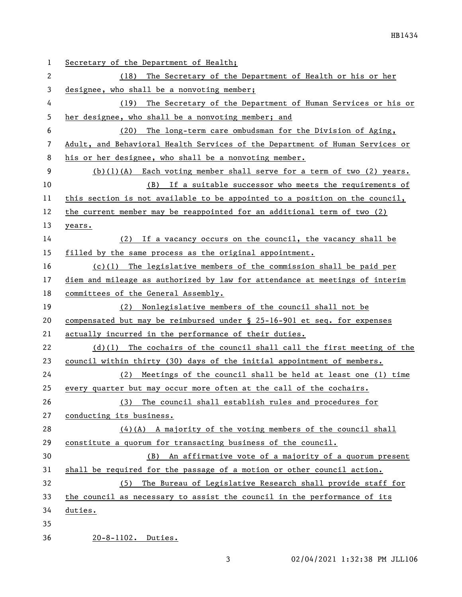| $\mathbf{1}$ | Secretary of the Department of Health;                                       |
|--------------|------------------------------------------------------------------------------|
| 2            | The Secretary of the Department of Health or his or her<br>(18)              |
| 3            | designee, who shall be a nonvoting member;                                   |
| 4            | The Secretary of the Department of Human Services or his or<br>(19)          |
| 5            | her designee, who shall be a nonvoting member; and                           |
| 6            | The long-term care ombudsman for the Division of Aging,<br>(20)              |
| 7            | Adult, and Behavioral Health Services of the Department of Human Services or |
| 8            | his or her designee, who shall be a nonvoting member.                        |
| 9            | $(b)(1)(A)$ Each voting member shall serve for a term of two $(2)$ years.    |
| 10           | (B) If a suitable successor who meets the requirements of                    |
| 11           | this section is not available to be appointed to a position on the council,  |
| 12           | the current member may be reappointed for an additional term of two (2)      |
| 13           | years.                                                                       |
| 14           | (2) If a vacancy occurs on the council, the vacancy shall be                 |
| 15           | filled by the same process as the original appointment.                      |
| 16           | $(c)(1)$ The legislative members of the commission shall be paid per         |
| 17           | diem and mileage as authorized by law for attendance at meetings of interim  |
| 18           | committees of the General Assembly.                                          |
| 19           | (2) Nonlegislative members of the council shall not be                       |
| 20           | compensated but may be reimbursed under § 25-16-901 et seq. for expenses     |
| 21           | actually incurred in the performance of their duties.                        |
| 22           | $(d)(1)$ The cochairs of the council shall call the first meeting of the     |
| 23           | council within thirty (30) days of the initial appointment of members.       |
| 24           | Meetings of the council shall be held at least one (1) time<br>(2)           |
| 25           | every quarter but may occur more often at the call of the cochairs.          |
| 26           | (3) The council shall establish rules and procedures for                     |
| 27           | conducting its business.                                                     |
| 28           | $(4)$ (A) A majority of the voting members of the council shall              |
| 29           | constitute a quorum for transacting business of the council.                 |
| 30           | (B) An affirmative vote of a majority of a quorum present                    |
| 31           | shall be required for the passage of a motion or other council action.       |
| 32           | (5) The Bureau of Legislative Research shall provide staff for               |
| 33           | the council as necessary to assist the council in the performance of its     |
| 34           | duties.                                                                      |
| 35           |                                                                              |
| 36           | 20-8-1102. Duties.                                                           |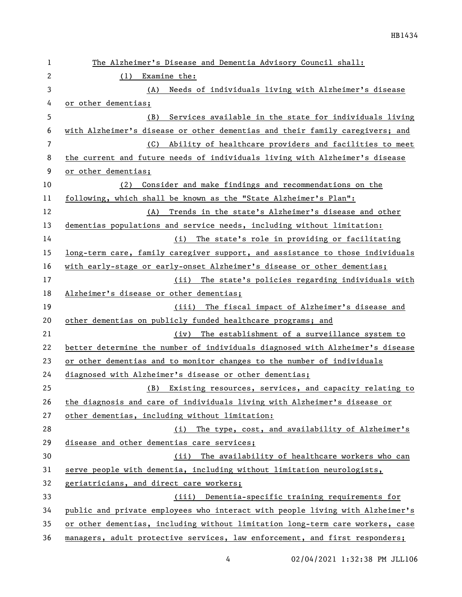| 1              | The Alzheimer's Disease and Dementia Advisory Council shall:                  |  |
|----------------|-------------------------------------------------------------------------------|--|
| $\mathbf{2}$   | Examine the:<br>(1)                                                           |  |
| 3              | Needs of individuals living with Alzheimer's disease<br>(A)                   |  |
| 4              | or other dementias;                                                           |  |
| 5              | Services available in the state for individuals living<br>(B)                 |  |
| 6              | with Alzheimer's disease or other dementias and their family caregivers; and  |  |
| $\overline{7}$ | (C)<br>Ability of healthcare providers and facilities to meet                 |  |
| 8              | the current and future needs of individuals living with Alzheimer's disease   |  |
| 9              | or other dementias;                                                           |  |
| 10             | (2)<br>Consider and make findings and recommendations on the                  |  |
| 11             | following, which shall be known as the "State Alzheimer's Plan":              |  |
| 12             | (A) Trends in the state's Alzheimer's disease and other                       |  |
| 13             | dementias populations and service needs, including without limitation:        |  |
| 14             | (i) The state's role in providing or facilitating                             |  |
| 15             | long-term care, family caregiver support, and assistance to those individuals |  |
| 16             | with early-stage or early-onset Alzheimer's disease or other dementias;       |  |
| 17             | (ii) The state's policies regarding individuals with                          |  |
| 18             | Alzheimer's disease or other dementias;                                       |  |
| 19             | (iii) The fiscal impact of Alzheimer's disease and                            |  |
| 20             | other dementias on publicly funded healthcare programs; and                   |  |
| 21             | (iv) The establishment of a surveillance system to                            |  |
| 22             | better determine the number of individuals diagnosed with Alzheimer's disease |  |
| 23             | or other dementias and to monitor changes to the number of individuals        |  |
| 24             | diagnosed_with_Alzheimer's_disease_or_other_dementias;                        |  |
| 25             | (B) Existing resources, services, and capacity relating to                    |  |
| 26             | the diagnosis and care of individuals living with Alzheimer's disease or      |  |
| 27             | other dementias, including without limitation:                                |  |
| 28             | (i) The type, cost, and availability of Alzheimer's                           |  |
| 29             | disease and other dementias care services;                                    |  |
| 30             | The availability of healthcare workers who can<br>(ii)                        |  |
| 31             | serve people with dementia, including without limitation neurologists,        |  |
| 32             | geriatricians, and direct care workers;                                       |  |
| 33             | (iii) Dementia-specific training requirements for                             |  |
| 34             | public and private employees who interact with people living with Alzheimer's |  |
| 35             | or other dementias, including without limitation long-term care workers, case |  |
| 36             | managers, adult protective services, law enforcement, and first responders;   |  |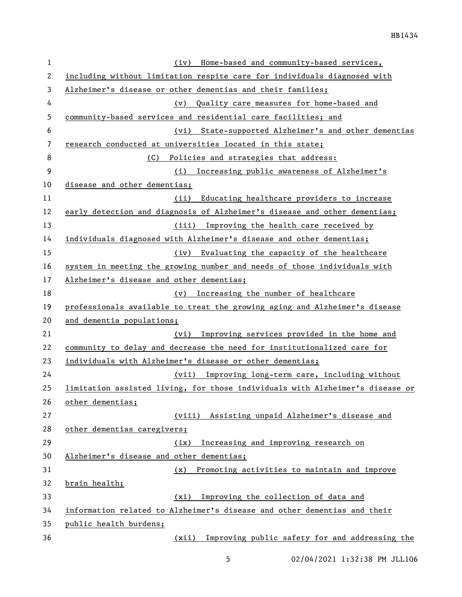| $\mathbf 1$ | Home-based and community-based services,<br>(iv)                              |
|-------------|-------------------------------------------------------------------------------|
| 2           | including without limitation respite care for individuals diagnosed with      |
| 3           | Alzheimer's disease or other dementias and their families;                    |
| 4           | (v) Quality care measures for home-based and                                  |
| 5           | community-based services and residential care facilities; and                 |
| 6           | (vi) State-supported Alzheimer's and other dementias                          |
| 7           | research conducted at universities located in this state;                     |
| 8           | (C)<br>Policies and strategies that address:                                  |
| 9           | (i) Increasing public awareness of Alzheimer's                                |
| 10          | disease and other dementias;                                                  |
| 11          | Educating healthcare providers to increase<br>(ii)                            |
| 12          | early detection and diagnosis of Alzheimer's disease and other dementias;     |
| 13          | (iii) Improving the health care received by                                   |
| 14          | individuals diagnosed with Alzheimer's disease and other dementias;           |
| 15          | Evaluating the capacity of the healthcare<br>(iv)                             |
| 16          | system in meeting the growing number and needs of those individuals with      |
| 17          | Alzheimer's disease and other dementias;                                      |
| 18          | (v) Increasing the number of healthcare                                       |
| 19          | professionals available to treat the growing aging and Alzheimer's disease    |
| 20          | and dementia populations;                                                     |
| 21          | Improving services provided in the home and<br>(vi)                           |
| 22          | community to delay and decrease the need for institutionalized care for       |
| 23          | individuals with Alzheimer's disease or other dementias;                      |
| 24          | (vii) Improving long-term care, including without                             |
| 25          | limitation assisted living, for those individuals with Alzheimer's disease or |
| 26          | other dementias;                                                              |
| 27          | (viii) Assisting unpaid Alzheimer's disease and                               |
| 28          | other dementias caregivers;                                                   |
| 29          | Increasing and improving research on<br>(ix)                                  |
| 30          | Alzheimer's disease and other dementias;                                      |
| 31          | Promoting activities to maintain and improve<br>(x)                           |
| 32          | brain health;                                                                 |
| 33          | Improving the collection of data and<br>(xi)                                  |
| 34          | information related to Alzheimer's disease and other dementias and their      |
| 35          | public health burdens;                                                        |
| 36          | Improving public safety for and addressing the<br>(xii)                       |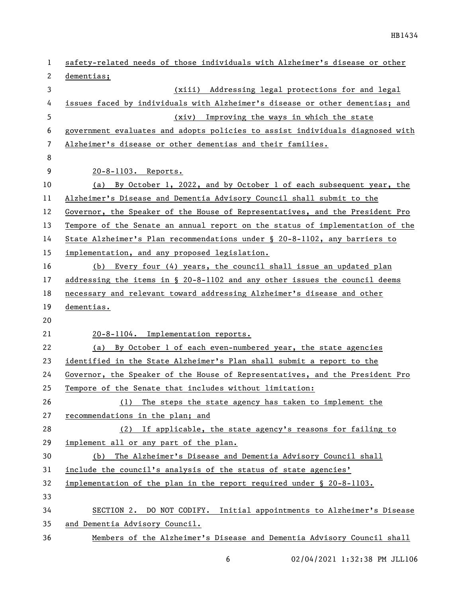| 1  | safety-related needs of those individuals with Alzheimer's disease or other   |
|----|-------------------------------------------------------------------------------|
| 2  | dementias;                                                                    |
| 3  | (xiii) Addressing legal protections for and legal                             |
| 4  | issues faced by individuals with Alzheimer's disease or other dementias; and  |
| 5  | (xiv) Improving the ways in which the state                                   |
| 6  | government evaluates and adopts policies to assist individuals diagnosed with |
| 7  | Alzheimer's disease or other dementias and their families.                    |
| 8  |                                                                               |
| 9  | 20-8-1103. Reports.                                                           |
| 10 | (a) By October 1, 2022, and by October 1 of each subsequent year, the         |
| 11 | Alzheimer's Disease and Dementia Advisory Council shall submit to the         |
| 12 | Governor, the Speaker of the House of Representatives, and the President Pro  |
| 13 | Tempore of the Senate an annual report on the status of implementation of the |
| 14 | State Alzheimer's Plan recommendations under § 20-8-1102, any barriers to     |
| 15 | implementation, and any proposed legislation.                                 |
| 16 | (b) Every four (4) years, the council shall issue an updated plan             |
| 17 | addressing the items in $\S$ 20-8-1102 and any other issues the council deems |
| 18 | necessary and relevant toward addressing Alzheimer's disease and other        |
| 19 | dementias.                                                                    |
| 20 |                                                                               |
| 21 | 20-8-1104. Implementation reports.                                            |
| 22 | (a) By October 1 of each even-numbered year, the state agencies               |
| 23 | identified in the State Alzheimer's Plan shall submit a report to the         |
| 24 | Governor, the Speaker of the House of Representatives, and the President Pro  |
| 25 | Tempore of the Senate that includes without limitation:                       |
| 26 | The steps the state agency has taken to implement the<br>(1)                  |
| 27 | recommendations in the plan; and                                              |
| 28 | (2) If applicable, the state agency's reasons for failing to                  |
| 29 | implement all or any part of the plan.                                        |
| 30 | (b) The Alzheimer's Disease and Dementia Advisory Council shall               |
| 31 | include the council's analysis of the status of state agencies'               |
| 32 | implementation of the plan in the report required under $\S$ 20-8-1103.       |
| 33 |                                                                               |
| 34 | SECTION 2. DO NOT CODIFY. Initial appointments to Alzheimer's Disease         |
| 35 | and Dementia Advisory Council.                                                |
| 36 | Members of the Alzheimer's Disease and Dementia Advisory Council shall        |